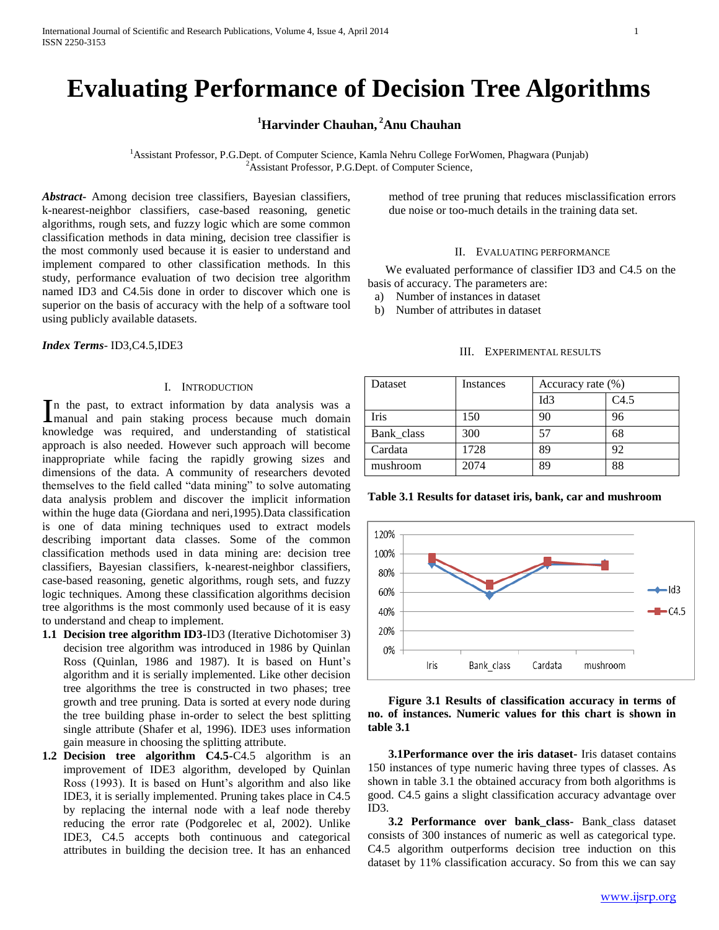# **Evaluating Performance of Decision Tree Algorithms**

# **<sup>1</sup>Harvinder Chauhan, <sup>2</sup>Anu Chauhan**

<sup>1</sup>Assistant Professor, P.G.Dept. of Computer Science, Kamla Nehru College ForWomen, Phagwara (Punjab)  ${}^{2}$ Assistant Professor, P.G.Dept. of Computer Science,

*Abstract***-** Among decision tree classifiers, Bayesian classifiers, k-nearest-neighbor classifiers, case-based reasoning, genetic algorithms, rough sets, and fuzzy logic which are some common classification methods in data mining, decision tree classifier is the most commonly used because it is easier to understand and implement compared to other classification methods. In this study, performance evaluation of two decision tree algorithm named ID3 and C4.5is done in order to discover which one is superior on the basis of accuracy with the help of a software tool using publicly available datasets.

*Index Terms*- ID3,C4.5,IDE3

### I. INTRODUCTION

n the past, to extract information by data analysis was a In the past, to extract information by data analysis was a manual and pain staking process because much domain knowledge was required, and understanding of statistical approach is also needed. However such approach will become inappropriate while facing the rapidly growing sizes and dimensions of the data. A community of researchers devoted themselves to the field called "data mining" to solve automating data analysis problem and discover the implicit information within the huge data (Giordana and neri,1995).Data classification is one of data mining techniques used to extract models describing important data classes. Some of the common classification methods used in data mining are: decision tree classifiers, Bayesian classifiers, k-nearest-neighbor classifiers, case-based reasoning, genetic algorithms, rough sets, and fuzzy logic techniques. Among these classification algorithms decision tree algorithms is the most commonly used because of it is easy to understand and cheap to implement.

- **1.1 Decision tree algorithm ID3-**ID3 (Iterative Dichotomiser 3) decision tree algorithm was introduced in 1986 by Quinlan Ross (Quinlan, 1986 and 1987). It is based on Hunt's algorithm and it is serially implemented. Like other decision tree algorithms the tree is constructed in two phases; tree growth and tree pruning. Data is sorted at every node during the tree building phase in-order to select the best splitting single attribute (Shafer et al, 1996). IDE3 uses information gain measure in choosing the splitting attribute.
- **1.2 Decision tree algorithm C4.5-**C4.5 algorithm is an improvement of IDE3 algorithm, developed by Quinlan Ross (1993). It is based on Hunt's algorithm and also like IDE3, it is serially implemented. Pruning takes place in C4.5 by replacing the internal node with a leaf node thereby reducing the error rate (Podgorelec et al, 2002). Unlike IDE3, C4.5 accepts both continuous and categorical attributes in building the decision tree. It has an enhanced

method of tree pruning that reduces misclassification errors due noise or too-much details in the training data set.

#### II. EVALUATING PERFORMANCE

 We evaluated performance of classifier ID3 and C4.5 on the basis of accuracy. The parameters are:

- a) Number of instances in dataset
- b) Number of attributes in dataset

## III. EXPERIMENTAL RESULTS

| Dataset    | Instances | Accuracy rate (%) |      |
|------------|-----------|-------------------|------|
|            |           | Id <sub>3</sub>   | C4.5 |
| Iris       | 150       | 90                | 96   |
| Bank class | 300       | 57                | 68   |
| Cardata    | 1728      | 89                | 92   |
| mushroom   | 2074      | 89                | 88   |

**Table 3.1 Results for dataset iris, bank, car and mushroom**



# **Figure 3.1 Results of classification accuracy in terms of no. of instances. Numeric values for this chart is shown in table 3.1**

 **3.1Performance over the iris dataset-** Iris dataset contains 150 instances of type numeric having three types of classes. As shown in table 3.1 the obtained accuracy from both algorithms is good. C4.5 gains a slight classification accuracy advantage over ID3.

 **3.2 Performance over bank\_class-** Bank\_class dataset consists of 300 instances of numeric as well as categorical type. C4.5 algorithm outperforms decision tree induction on this dataset by 11% classification accuracy. So from this we can say